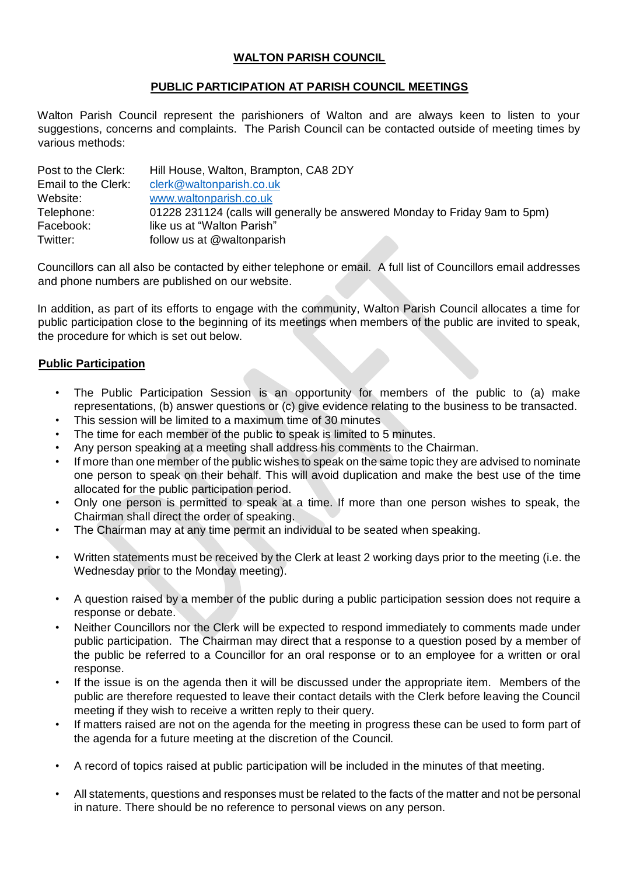## **WALTON PARISH COUNCIL**

## **PUBLIC PARTICIPATION AT PARISH COUNCIL MEETINGS**

Walton Parish Council represent the parishioners of Walton and are always keen to listen to your suggestions, concerns and complaints. The Parish Council can be contacted outside of meeting times by various methods:

| Post to the Clerk:  | Hill House, Walton, Brampton, CA8 2DY                                       |
|---------------------|-----------------------------------------------------------------------------|
| Email to the Clerk: | clerk@waltonparish.co.uk                                                    |
| Website:            | www.waltonparish.co.uk                                                      |
| Telephone:          | 01228 231124 (calls will generally be answered Monday to Friday 9am to 5pm) |
| Facebook:           | like us at "Walton Parish"                                                  |
| Twitter:            | follow us at @waltonparish                                                  |

Councillors can all also be contacted by either telephone or email. A full list of Councillors email addresses and phone numbers are published on our website.

In addition, as part of its efforts to engage with the community, Walton Parish Council allocates a time for public participation close to the beginning of its meetings when members of the public are invited to speak, the procedure for which is set out below.

## **Public Participation**

- The Public Participation Session is an opportunity for members of the public to (a) make representations, (b) answer questions or (c) give evidence relating to the business to be transacted.
- This session will be limited to a maximum time of 30 minutes
- The time for each member of the public to speak is limited to 5 minutes.
- Any person speaking at a meeting shall address his comments to the Chairman.
- If more than one member of the public wishes to speak on the same topic they are advised to nominate one person to speak on their behalf. This will avoid duplication and make the best use of the time allocated for the public participation period.
- Only one person is permitted to speak at a time. If more than one person wishes to speak, the Chairman shall direct the order of speaking.
- The Chairman may at any time permit an individual to be seated when speaking.
- Written statements must be received by the Clerk at least 2 working days prior to the meeting (i.e. the Wednesday prior to the Monday meeting).
- A question raised by a member of the public during a public participation session does not require a response or debate.
- Neither Councillors nor the Clerk will be expected to respond immediately to comments made under public participation. The Chairman may direct that a response to a question posed by a member of the public be referred to a Councillor for an oral response or to an employee for a written or oral response.
- If the issue is on the agenda then it will be discussed under the appropriate item. Members of the public are therefore requested to leave their contact details with the Clerk before leaving the Council meeting if they wish to receive a written reply to their query.
- If matters raised are not on the agenda for the meeting in progress these can be used to form part of the agenda for a future meeting at the discretion of the Council.
- A record of topics raised at public participation will be included in the minutes of that meeting.
- All statements, questions and responses must be related to the facts of the matter and not be personal in nature. There should be no reference to personal views on any person.